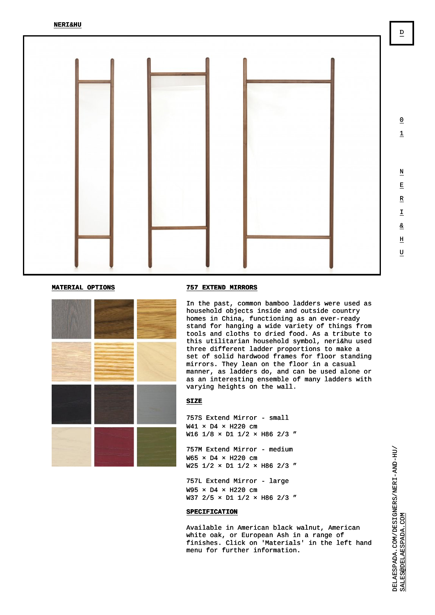## MATERIAL OPTIONS 757 EXTEND MIRRORS

In the past, common bamboo ladders were used as household objects inside and outside country homes in China, functioning as an ever-ready stand for hanging a wide variety of things from tools and cloths to dried food. As a tribute to this utilitarian household symbol, neri&hu used three different ladder proportions to make a set of solid hardwood frames for floor standing mirrors. They lean on the floor in a casual manner, as ladders do, and can be used alone or as an interesting ensemble of many ladders with varying heights on the wall.

## **SIZE**

757S Extend Mirror - small W41 x D4 x H220 cm W16 1/8 x D1 1/2 x H86 2/3"

757M Extend Mirror - medium W65 × D4 × H220 cm W25 1/2 x D1 1/2 x H86 2/3"

757L Extend Mirror - large W95 × D4 × H220 cm W37 2/5 x D1 1/2 x H86 2/3"

## **SPECIFICATION**

Available in American black walnut, American white oak, or European Ash in a range of finishes. Click on 'Materials' in the left hand menu for further information.